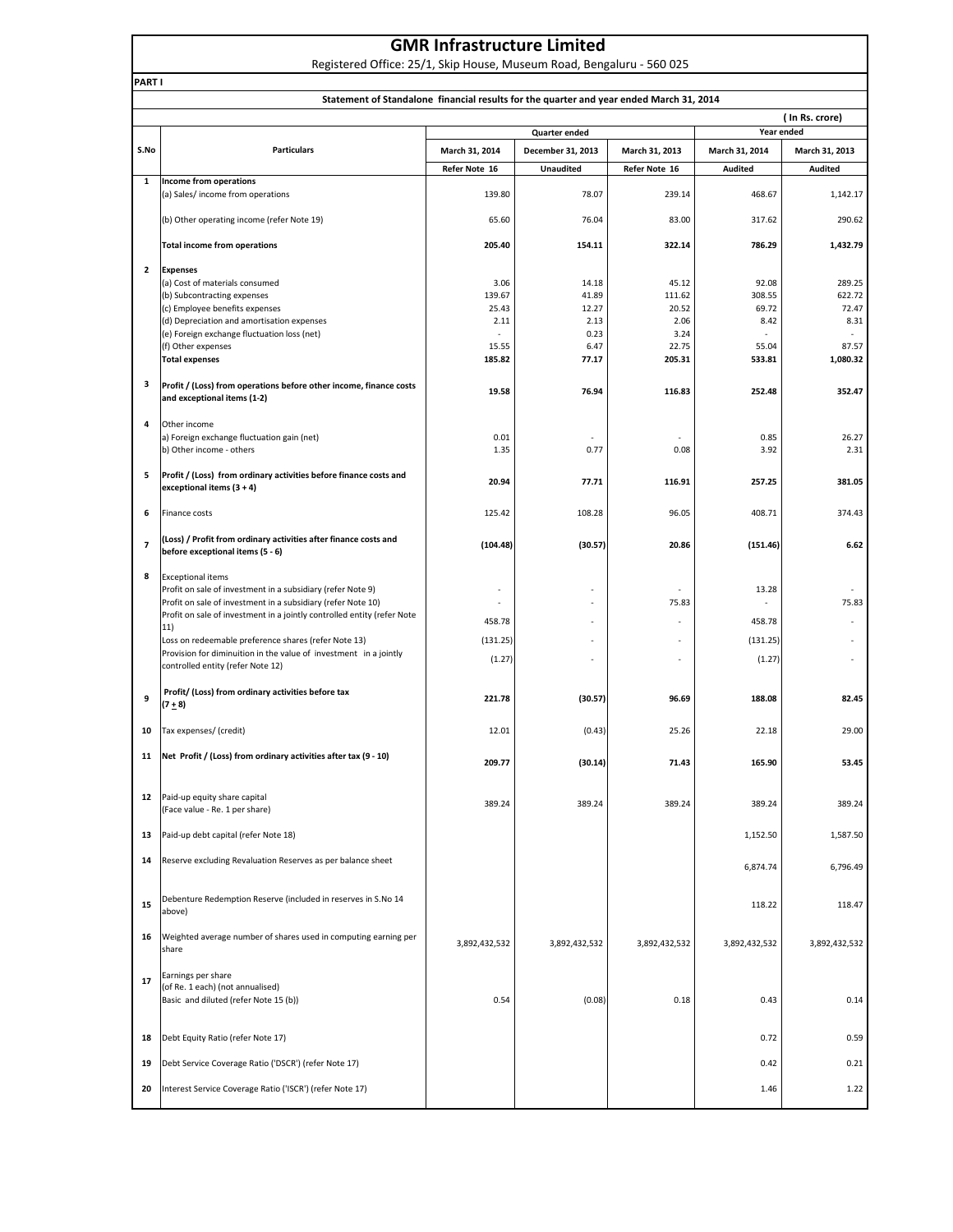|  | <b>GMR Infrastructure Limited</b> |  |
|--|-----------------------------------|--|
|--|-----------------------------------|--|

Registered Office: 25/1, Skip House, Museum Road, Bengaluru - 560 025

|                          | Statement of Standalone financial results for the quarter and year ended March 31, 2014                |                                 |                                       |                                 |                                  |                                  |  |
|--------------------------|--------------------------------------------------------------------------------------------------------|---------------------------------|---------------------------------------|---------------------------------|----------------------------------|----------------------------------|--|
|                          |                                                                                                        |                                 |                                       |                                 |                                  | (In Rs. crore)                   |  |
|                          |                                                                                                        |                                 | <b>Quarter ended</b>                  |                                 | Year ended                       |                                  |  |
| S.No                     | <b>Particulars</b>                                                                                     | March 31, 2014<br>Refer Note 16 | December 31, 2013<br><b>Unaudited</b> | March 31, 2013<br>Refer Note 16 | March 31, 2014<br><b>Audited</b> | March 31, 2013<br><b>Audited</b> |  |
| 1                        | Income from operations                                                                                 |                                 |                                       |                                 |                                  |                                  |  |
|                          | (a) Sales/ income from operations                                                                      | 139.80                          | 78.07                                 | 239.14                          | 468.67                           | 1,142.17                         |  |
|                          | (b) Other operating income (refer Note 19)                                                             | 65.60                           | 76.04                                 | 83.00                           | 317.62                           | 290.62                           |  |
|                          | <b>Total income from operations</b>                                                                    | 205.40                          | 154.11                                | 322.14                          | 786.29                           | 1,432.79                         |  |
| $\overline{\mathbf{2}}$  | <b>Expenses</b>                                                                                        |                                 |                                       |                                 |                                  |                                  |  |
|                          | (a) Cost of materials consumed                                                                         | 3.06<br>139.67                  | 14.18<br>41.89                        | 45.12<br>111.62                 | 92.08<br>308.55                  | 289.25<br>622.72                 |  |
|                          | (b) Subcontracting expenses<br>(c) Employee benefits expenses                                          | 25.43                           | 12.27                                 | 20.52                           | 69.72                            | 72.47                            |  |
|                          | (d) Depreciation and amortisation expenses                                                             | 2.11                            | 2.13                                  | 2.06                            | 8.42                             | 8.31                             |  |
|                          | (e) Foreign exchange fluctuation loss (net)                                                            |                                 | 0.23                                  | 3.24                            |                                  |                                  |  |
|                          | (f) Other expenses                                                                                     | 15.55                           | 6.47                                  | 22.75                           | 55.04                            | 87.57                            |  |
|                          | <b>Total expenses</b>                                                                                  | 185.82                          | 77.17                                 | 205.31                          | 533.81                           | 1,080.32                         |  |
| з                        | Profit / (Loss) from operations before other income, finance costs<br>and exceptional items (1-2)      | 19.58                           | 76.94                                 | 116.83                          | 252.48                           | 352.47                           |  |
| 4                        | Other income                                                                                           |                                 |                                       |                                 |                                  |                                  |  |
|                          | a) Foreign exchange fluctuation gain (net)                                                             | 0.01                            | $\overline{\phantom{a}}$              |                                 | 0.85                             | 26.27                            |  |
|                          | b) Other income - others                                                                               | 1.35                            | 0.77                                  | 0.08                            | 3.92                             | 2.31                             |  |
| 5                        | Profit / (Loss) from ordinary activities before finance costs and<br>exceptional items (3 + 4)         | 20.94                           | 77.71                                 | 116.91                          | 257.25                           | 381.05                           |  |
| 6                        | Finance costs                                                                                          | 125.42                          | 108.28                                | 96.05                           | 408.71                           | 374.43                           |  |
| $\overline{\phantom{a}}$ | (Loss) / Profit from ordinary activities after finance costs and<br>before exceptional items (5 - 6)   | (104.48)                        | (30.57)                               | 20.86                           | (151.46)                         | 6.62                             |  |
| 8                        | <b>Exceptional items</b>                                                                               |                                 |                                       |                                 |                                  |                                  |  |
|                          | Profit on sale of investment in a subsidiary (refer Note 9)                                            |                                 |                                       |                                 | 13.28                            |                                  |  |
|                          | Profit on sale of investment in a subsidiary (refer Note 10)                                           |                                 |                                       | 75.83                           |                                  | 75.83                            |  |
|                          | Profit on sale of investment in a jointly controlled entity (refer Note                                | 458.78                          |                                       |                                 | 458.78                           |                                  |  |
|                          | 11)                                                                                                    |                                 |                                       |                                 |                                  |                                  |  |
|                          | Loss on redeemable preference shares (refer Note 13)                                                   | (131.25)                        | ٠                                     |                                 | (131.25)                         |                                  |  |
|                          | Provision for diminuition in the value of investment in a jointly<br>controlled entity (refer Note 12) | (1.27)                          |                                       | ٠                               | (1.27)                           |                                  |  |
| 9                        | Profit/ (Loss) from ordinary activities before tax<br>$(7 + 8)$                                        | 221.78                          | (30.57)                               | 96.69                           | 188.08                           | 82.45                            |  |
| 10                       | Tax expenses/ (credit)                                                                                 | 12.01                           | (0.43)                                | 25.26                           | 22.18                            | 29.00                            |  |
| 11                       | Net Profit / (Loss) from ordinary activities after tax (9 - 10)                                        | 209.77                          | (30.14)                               | 71.43                           | 165.90                           | 53.45                            |  |
| 12                       | Paid-up equity share capital<br>(Face value - Re. 1 per share)                                         | 389.24                          | 389.24                                | 389.24                          | 389.24                           | 389.24                           |  |
| 13                       | Paid-up debt capital (refer Note 18)                                                                   |                                 |                                       |                                 | 1,152.50                         | 1,587.50                         |  |
| 14                       | Reserve excluding Revaluation Reserves as per balance sheet                                            |                                 |                                       |                                 | 6,874.74                         | 6,796.49                         |  |
| 15                       | Debenture Redemption Reserve (included in reserves in S.No 14<br>above)                                |                                 |                                       |                                 | 118.22                           | 118.47                           |  |
| 16                       | Weighted average number of shares used in computing earning per<br>share                               | 3,892,432,532                   | 3,892,432,532                         | 3,892,432,532                   | 3,892,432,532                    | 3,892,432,532                    |  |
| 17                       | Earnings per share<br>(of Re. 1 each) (not annualised)<br>Basic and diluted (refer Note 15 (b))        | 0.54                            | (0.08)                                | 0.18                            | 0.43                             | 0.14                             |  |
| 18                       | Debt Equity Ratio (refer Note 17)                                                                      |                                 |                                       |                                 | 0.72                             | 0.59                             |  |
| 19                       | Debt Service Coverage Ratio ('DSCR') (refer Note 17)                                                   |                                 |                                       |                                 | 0.42                             | 0.21                             |  |
| 20                       | Interest Service Coverage Ratio ('ISCR') (refer Note 17)                                               |                                 |                                       |                                 | 1.46                             | 1.22                             |  |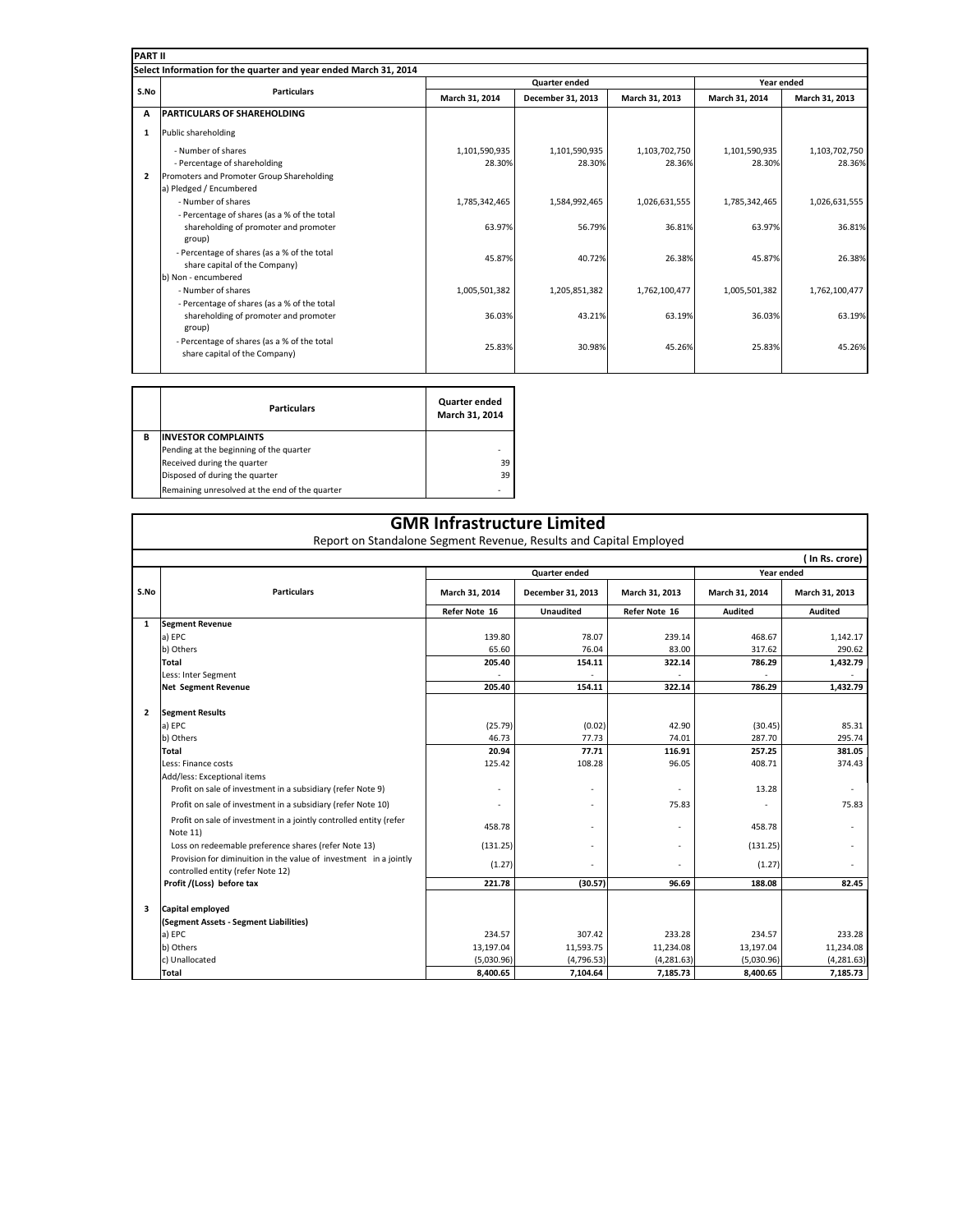| <b>PART II</b> |                                                                  |                |                      |                |                |                |  |  |
|----------------|------------------------------------------------------------------|----------------|----------------------|----------------|----------------|----------------|--|--|
|                | Select Information for the quarter and year ended March 31, 2014 |                |                      |                |                |                |  |  |
|                | <b>Particulars</b>                                               |                | <b>Quarter ended</b> |                | Year ended     |                |  |  |
| S.No           |                                                                  | March 31, 2014 | December 31, 2013    | March 31, 2013 | March 31, 2014 | March 31, 2013 |  |  |
| A              | <b>PARTICULARS OF SHAREHOLDING</b>                               |                |                      |                |                |                |  |  |
| 1              | Public shareholding                                              |                |                      |                |                |                |  |  |
|                | - Number of shares                                               | 1,101,590,935  | 1,101,590,935        | 1,103,702,750  | 1,101,590,935  | 1,103,702,750  |  |  |
|                | - Percentage of shareholding                                     | 28.30%         | 28.30%               | 28.36%         | 28.30%         | 28.36%         |  |  |
| $\overline{2}$ | Promoters and Promoter Group Shareholding                        |                |                      |                |                |                |  |  |
|                | a) Pledged / Encumbered                                          |                |                      |                |                |                |  |  |
|                | - Number of shares                                               | 1,785,342,465  | 1,584,992,465        | 1,026,631,555  | 1,785,342,465  | 1,026,631,555  |  |  |
|                | - Percentage of shares (as a % of the total                      |                |                      |                |                |                |  |  |
|                | shareholding of promoter and promoter                            | 63.97%         | 56.79%               | 36.81%         | 63.97%         | 36.81%         |  |  |
|                | group)                                                           |                |                      |                |                |                |  |  |
|                | - Percentage of shares (as a % of the total                      | 45.87%         | 40.72%               | 26.38%         | 45.87%         | 26.38%         |  |  |
|                | share capital of the Company)                                    |                |                      |                |                |                |  |  |
|                | b) Non - encumbered                                              |                |                      |                |                |                |  |  |
|                | - Number of shares                                               | 1,005,501,382  | 1,205,851,382        | 1,762,100,477  | 1,005,501,382  | 1,762,100,477  |  |  |
|                | - Percentage of shares (as a % of the total                      |                |                      |                |                |                |  |  |
|                | shareholding of promoter and promoter                            | 36.03%         | 43.21%               | 63.19%         | 36.03%         | 63.19%         |  |  |
|                | group)                                                           |                |                      |                |                |                |  |  |
|                | - Percentage of shares (as a % of the total                      | 25.83%         | 30.98%               | 45.26%         | 25.83%         | 45.26%         |  |  |
|                | share capital of the Company)                                    |                |                      |                |                |                |  |  |
|                |                                                                  |                |                      |                |                |                |  |  |

 $\blacksquare$ 

|   | <b>Particulars</b>                             | Quarter ended<br>March 31, 2014 |
|---|------------------------------------------------|---------------------------------|
| в | <b>INVESTOR COMPLAINTS</b>                     |                                 |
|   | Pending at the beginning of the quarter        |                                 |
|   | Received during the quarter                    | 39                              |
|   | Disposed of during the quarter                 | 39                              |
|   | Remaining unresolved at the end of the quarter |                                 |

Г

|              | <b>GMR Infrastructure Limited</b><br>Report on Standalone Segment Revenue, Results and Capital Employed |                                    |                   |                |                |                |  |
|--------------|---------------------------------------------------------------------------------------------------------|------------------------------------|-------------------|----------------|----------------|----------------|--|
|              | ( In Rs. crore)                                                                                         |                                    |                   |                |                |                |  |
|              |                                                                                                         | Year ended<br><b>Quarter ended</b> |                   |                |                |                |  |
| S.No         | <b>Particulars</b>                                                                                      | March 31, 2014                     | December 31, 2013 | March 31, 2013 | March 31, 2014 | March 31, 2013 |  |
|              |                                                                                                         | Refer Note 16                      | <b>Unaudited</b>  | Refer Note 16  | <b>Audited</b> | <b>Audited</b> |  |
| $\mathbf{1}$ | <b>Segment Revenue</b>                                                                                  |                                    |                   |                |                |                |  |
|              | a) EPC                                                                                                  | 139.80                             | 78.07             | 239.14         | 468.67         | 1,142.17       |  |
|              | b) Others                                                                                               | 65.60                              | 76.04             | 83.00          | 317.62         | 290.62         |  |
|              | Total                                                                                                   | 205.40                             | 154.11            | 322.14         | 786.29         | 1,432.79       |  |
|              | Less: Inter Segment                                                                                     |                                    |                   |                |                |                |  |
|              | <b>Net Segment Revenue</b>                                                                              | 205.40                             | 154.11            | 322.14         | 786.29         | 1,432.79       |  |
|              |                                                                                                         |                                    |                   |                |                |                |  |
| $\mathbf{2}$ | <b>Segment Results</b>                                                                                  |                                    |                   |                |                |                |  |
|              | a) EPC                                                                                                  | (25.79)                            | (0.02)            | 42.90          | (30.45)        | 85.31          |  |
|              | b) Others                                                                                               | 46.73                              | 77.73             | 74.01          | 287.70         | 295.74         |  |
|              | <b>Total</b>                                                                                            | 20.94                              | 77.71             | 116.91         | 257.25         | 381.05         |  |
|              | Less: Finance costs                                                                                     | 125.42                             | 108.28            | 96.05          | 408.71         | 374.43         |  |
|              | Add/less: Exceptional items                                                                             |                                    |                   |                |                |                |  |
|              | Profit on sale of investment in a subsidiary (refer Note 9)                                             |                                    |                   |                | 13.28          |                |  |
|              | Profit on sale of investment in a subsidiary (refer Note 10)                                            |                                    |                   | 75.83          |                | 75.83          |  |
|              | Profit on sale of investment in a jointly controlled entity (refer<br>Note 11)                          | 458.78                             |                   |                | 458.78         |                |  |
|              | Loss on redeemable preference shares (refer Note 13)                                                    | (131.25)                           |                   |                | (131.25)       |                |  |
|              | Provision for diminuition in the value of investment in a jointly<br>controlled entity (refer Note 12)  | (1.27)                             |                   |                | (1.27)         |                |  |
|              | Profit /(Loss) before tax                                                                               | 221.78                             | (30.57)           | 96.69          | 188.08         | 82.45          |  |
|              |                                                                                                         |                                    |                   |                |                |                |  |
| з            | Capital employed                                                                                        |                                    |                   |                |                |                |  |
|              | (Segment Assets - Segment Liabilities)                                                                  |                                    |                   |                |                |                |  |
|              | a) EPC                                                                                                  | 234.57                             | 307.42            | 233.28         | 234.57         | 233.28         |  |
|              | b) Others                                                                                               | 13,197.04                          | 11,593.75         | 11,234.08      | 13,197.04      | 11,234.08      |  |
|              | c) Unallocated                                                                                          | (5,030.96)                         | (4,796.53)        | (4,281.63)     | (5,030.96)     | (4, 281.63)    |  |
|              | Total                                                                                                   | 8,400.65                           | 7,104.64          | 7,185.73       | 8,400.65       | 7,185.73       |  |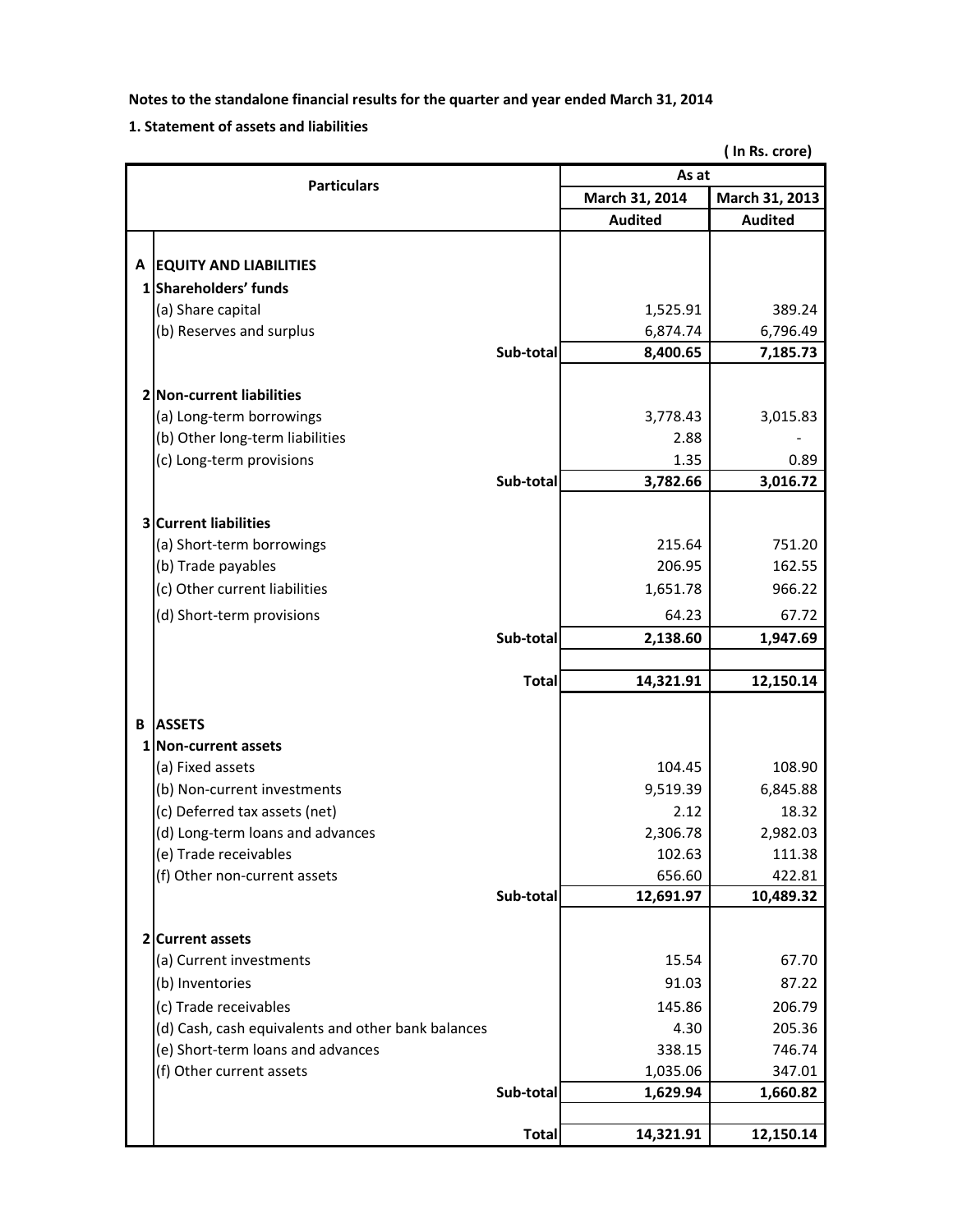### **1. Statement of assets and liabilities**

**( In Rs. crore)**

| <b>Particulars</b> |                                                    |              | As at          |                |  |
|--------------------|----------------------------------------------------|--------------|----------------|----------------|--|
|                    |                                                    |              | March 31, 2014 | March 31, 2013 |  |
|                    |                                                    |              | <b>Audited</b> | <b>Audited</b> |  |
|                    |                                                    |              |                |                |  |
|                    | A EQUITY AND LIABILITIES                           |              |                |                |  |
|                    | 1 Shareholders' funds                              |              |                |                |  |
|                    | (a) Share capital                                  |              | 1,525.91       | 389.24         |  |
|                    | (b) Reserves and surplus                           |              | 6,874.74       | 6,796.49       |  |
|                    |                                                    | Sub-total    | 8,400.65       | 7,185.73       |  |
|                    |                                                    |              |                |                |  |
|                    | 2 Non-current liabilities                          |              |                |                |  |
|                    | (a) Long-term borrowings                           |              | 3,778.43       | 3,015.83       |  |
|                    | (b) Other long-term liabilities                    |              | 2.88           |                |  |
|                    | (c) Long-term provisions                           |              | 1.35           | 0.89           |  |
|                    |                                                    | Sub-total    | 3,782.66       | 3,016.72       |  |
|                    | <b>3 Current liabilities</b>                       |              |                |                |  |
|                    | (a) Short-term borrowings                          |              | 215.64         | 751.20         |  |
|                    | (b) Trade payables                                 |              | 206.95         | 162.55         |  |
|                    | (c) Other current liabilities                      |              | 1,651.78       | 966.22         |  |
|                    | (d) Short-term provisions                          |              | 64.23          | 67.72          |  |
|                    |                                                    | Sub-total    | 2,138.60       | 1,947.69       |  |
|                    |                                                    |              |                |                |  |
|                    |                                                    | <b>Total</b> | 14,321.91      | 12,150.14      |  |
|                    |                                                    |              |                |                |  |
| В                  | <b>ASSETS</b>                                      |              |                |                |  |
|                    | 1 Non-current assets                               |              |                |                |  |
|                    | (a) Fixed assets                                   |              | 104.45         | 108.90         |  |
|                    | (b) Non-current investments                        |              | 9,519.39       | 6,845.88       |  |
|                    | (c) Deferred tax assets (net)                      |              | 2.12           | 18.32          |  |
|                    | (d) Long-term loans and advances                   |              | 2,306.78       | 2,982.03       |  |
|                    | (e) Trade receivables                              |              | 102.63         | 111.38         |  |
|                    | (f) Other non-current assets                       |              | 656.60         | 422.81         |  |
|                    |                                                    | Sub-total    | 12,691.97      | 10,489.32      |  |
|                    | 2 Current assets                                   |              |                |                |  |
|                    | (a) Current investments                            |              | 15.54          | 67.70          |  |
|                    | (b) Inventories                                    |              | 91.03          | 87.22          |  |
|                    | (c) Trade receivables                              |              | 145.86         | 206.79         |  |
|                    | (d) Cash, cash equivalents and other bank balances |              | 4.30           | 205.36         |  |
|                    | (e) Short-term loans and advances                  |              | 338.15         | 746.74         |  |
|                    | (f) Other current assets                           |              | 1,035.06       | 347.01         |  |
|                    |                                                    | Sub-total    | 1,629.94       | 1,660.82       |  |
|                    |                                                    |              |                |                |  |
|                    |                                                    | <b>Total</b> | 14,321.91      | 12,150.14      |  |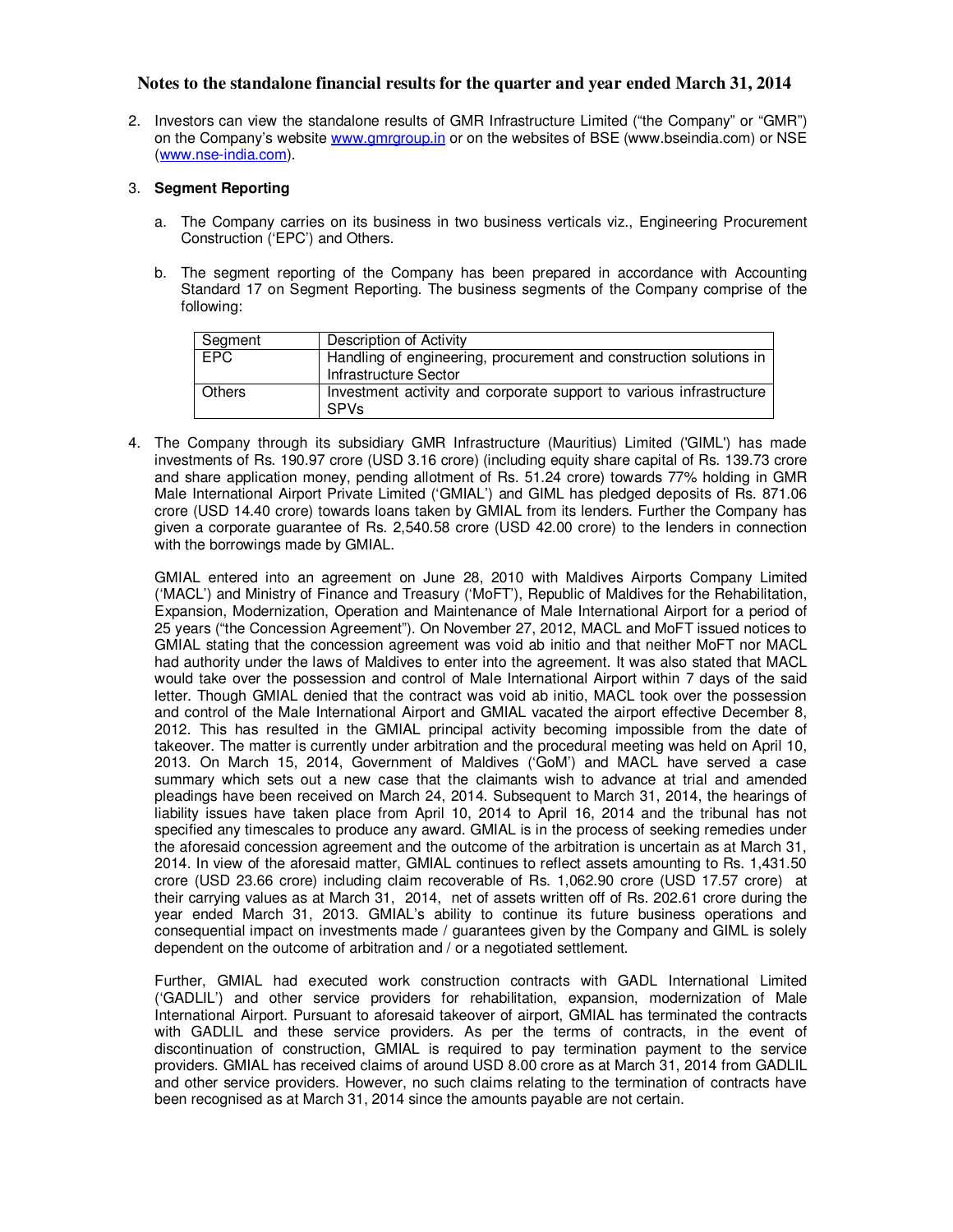2. Investors can view the standalone results of GMR Infrastructure Limited ("the Company" or "GMR") on the Company's website www.gmrgroup.in or on the websites of BSE (www.bseindia.com) or NSE (www.nse-india.com).

#### 3. **Segment Reporting**

- a. The Company carries on its business in two business verticals viz., Engineering Procurement Construction ('EPC') and Others.
- b. The segment reporting of the Company has been prepared in accordance with Accounting Standard 17 on Segment Reporting. The business segments of the Company comprise of the following:

| Segment       | Description of Activity                                                                     |
|---------------|---------------------------------------------------------------------------------------------|
| <b>EPC</b>    | Handling of engineering, procurement and construction solutions in<br>Infrastructure Sector |
| <b>Others</b> | Investment activity and corporate support to various infrastructure<br><b>SPVs</b>          |

4. The Company through its subsidiary GMR Infrastructure (Mauritius) Limited ('GIML') has made investments of Rs. 190.97 crore (USD 3.16 crore) (including equity share capital of Rs. 139.73 crore and share application money, pending allotment of Rs. 51.24 crore) towards 77% holding in GMR Male International Airport Private Limited ('GMIAL') and GIML has pledged deposits of Rs. 871.06 crore (USD 14.40 crore) towards loans taken by GMIAL from its lenders. Further the Company has given a corporate guarantee of Rs. 2,540.58 crore (USD 42.00 crore) to the lenders in connection with the borrowings made by GMIAL.

GMIAL entered into an agreement on June 28, 2010 with Maldives Airports Company Limited ('MACL') and Ministry of Finance and Treasury ('MoFT'), Republic of Maldives for the Rehabilitation, Expansion, Modernization, Operation and Maintenance of Male International Airport for a period of 25 years ("the Concession Agreement"). On November 27, 2012, MACL and MoFT issued notices to GMIAL stating that the concession agreement was void ab initio and that neither MoFT nor MACL had authority under the laws of Maldives to enter into the agreement. It was also stated that MACL would take over the possession and control of Male International Airport within 7 days of the said letter. Though GMIAL denied that the contract was void ab initio, MACL took over the possession and control of the Male International Airport and GMIAL vacated the airport effective December 8, 2012. This has resulted in the GMIAL principal activity becoming impossible from the date of takeover. The matter is currently under arbitration and the procedural meeting was held on April 10, 2013. On March 15, 2014, Government of Maldives ('GoM') and MACL have served a case summary which sets out a new case that the claimants wish to advance at trial and amended pleadings have been received on March 24, 2014. Subsequent to March 31, 2014, the hearings of liability issues have taken place from April 10, 2014 to April 16, 2014 and the tribunal has not specified any timescales to produce any award. GMIAL is in the process of seeking remedies under the aforesaid concession agreement and the outcome of the arbitration is uncertain as at March 31, 2014. In view of the aforesaid matter, GMIAL continues to reflect assets amounting to Rs. 1,431.50 crore (USD 23.66 crore) including claim recoverable of Rs. 1,062.90 crore (USD 17.57 crore) at their carrying values as at March 31, 2014, net of assets written off of Rs. 202.61 crore during the year ended March 31, 2013. GMIAL's ability to continue its future business operations and consequential impact on investments made / guarantees given by the Company and GIML is solely dependent on the outcome of arbitration and / or a negotiated settlement.

Further, GMIAL had executed work construction contracts with GADL International Limited ('GADLIL') and other service providers for rehabilitation, expansion, modernization of Male International Airport. Pursuant to aforesaid takeover of airport, GMIAL has terminated the contracts with GADLIL and these service providers. As per the terms of contracts, in the event of discontinuation of construction, GMIAL is required to pay termination payment to the service providers. GMIAL has received claims of around USD 8.00 crore as at March 31, 2014 from GADLIL and other service providers. However, no such claims relating to the termination of contracts have been recognised as at March 31, 2014 since the amounts payable are not certain.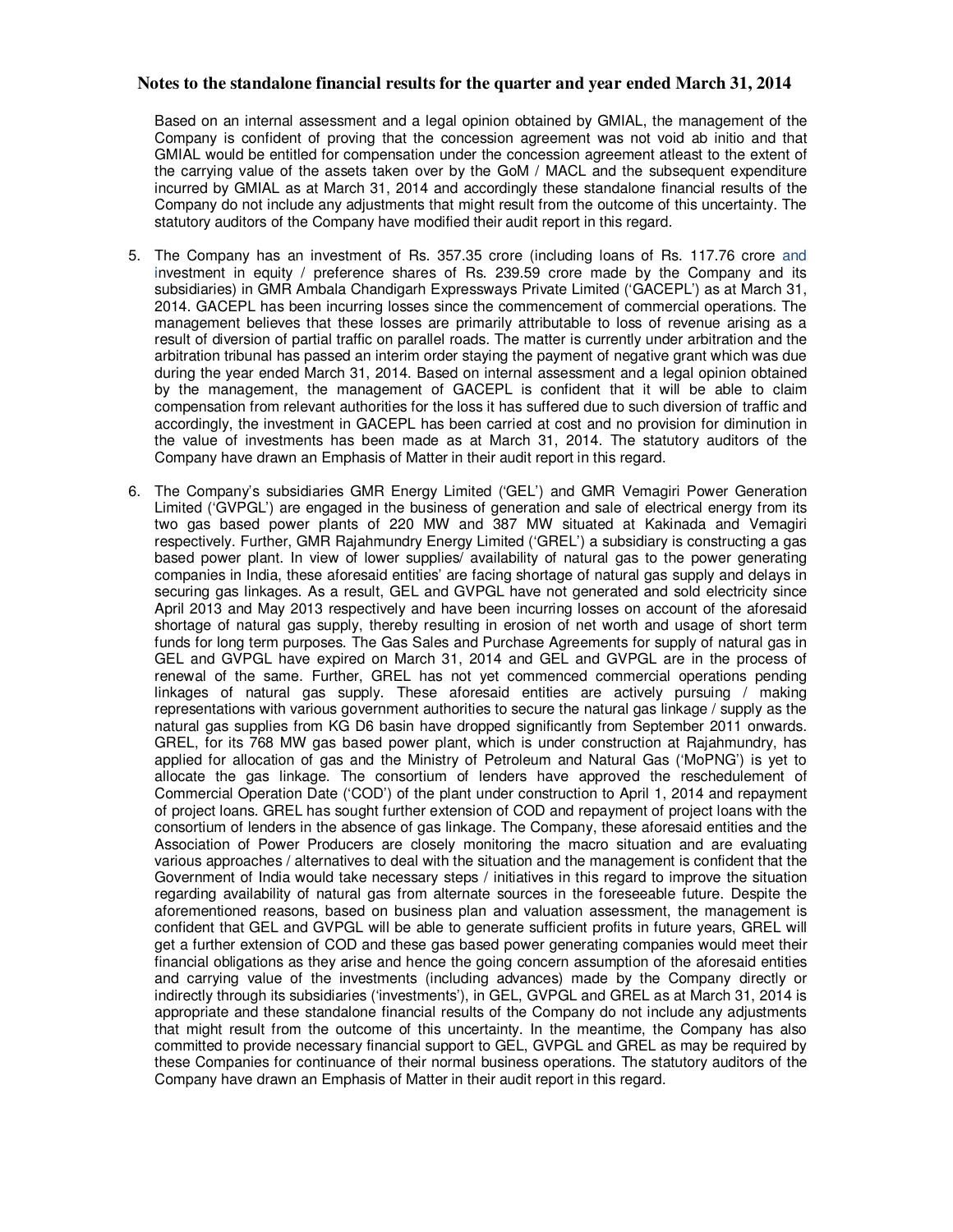Based on an internal assessment and a legal opinion obtained by GMIAL, the management of the Company is confident of proving that the concession agreement was not void ab initio and that GMIAL would be entitled for compensation under the concession agreement atleast to the extent of the carrying value of the assets taken over by the GoM / MACL and the subsequent expenditure incurred by GMIAL as at March 31, 2014 and accordingly these standalone financial results of the Company do not include any adjustments that might result from the outcome of this uncertainty. The statutory auditors of the Company have modified their audit report in this regard.

- 5. The Company has an investment of Rs. 357.35 crore (including loans of Rs. 117.76 crore and investment in equity / preference shares of Rs. 239.59 crore made by the Company and its subsidiaries) in GMR Ambala Chandigarh Expressways Private Limited ('GACEPL') as at March 31, 2014. GACEPL has been incurring losses since the commencement of commercial operations. The management believes that these losses are primarily attributable to loss of revenue arising as a result of diversion of partial traffic on parallel roads. The matter is currently under arbitration and the arbitration tribunal has passed an interim order staying the payment of negative grant which was due during the year ended March 31, 2014. Based on internal assessment and a legal opinion obtained by the management, the management of GACEPL is confident that it will be able to claim compensation from relevant authorities for the loss it has suffered due to such diversion of traffic and accordingly, the investment in GACEPL has been carried at cost and no provision for diminution in the value of investments has been made as at March 31, 2014. The statutory auditors of the Company have drawn an Emphasis of Matter in their audit report in this regard.
- 6. The Company's subsidiaries GMR Energy Limited ('GEL') and GMR Vemagiri Power Generation Limited ('GVPGL') are engaged in the business of generation and sale of electrical energy from its two gas based power plants of 220 MW and 387 MW situated at Kakinada and Vemagiri respectively. Further, GMR Rajahmundry Energy Limited ('GREL') a subsidiary is constructing a gas based power plant. In view of lower supplies/ availability of natural gas to the power generating companies in India, these aforesaid entities' are facing shortage of natural gas supply and delays in securing gas linkages. As a result, GEL and GVPGL have not generated and sold electricity since April 2013 and May 2013 respectively and have been incurring losses on account of the aforesaid shortage of natural gas supply, thereby resulting in erosion of net worth and usage of short term funds for long term purposes. The Gas Sales and Purchase Agreements for supply of natural gas in GEL and GVPGL have expired on March 31, 2014 and GEL and GVPGL are in the process of renewal of the same. Further, GREL has not yet commenced commercial operations pending linkages of natural gas supply. These aforesaid entities are actively pursuing / making representations with various government authorities to secure the natural gas linkage / supply as the natural gas supplies from KG D6 basin have dropped significantly from September 2011 onwards. GREL, for its 768 MW gas based power plant, which is under construction at Rajahmundry, has applied for allocation of gas and the Ministry of Petroleum and Natural Gas ('MoPNG') is yet to allocate the gas linkage. The consortium of lenders have approved the reschedulement of Commercial Operation Date ('COD') of the plant under construction to April 1, 2014 and repayment of project loans. GREL has sought further extension of COD and repayment of project loans with the consortium of lenders in the absence of gas linkage. The Company, these aforesaid entities and the Association of Power Producers are closely monitoring the macro situation and are evaluating various approaches / alternatives to deal with the situation and the management is confident that the Government of India would take necessary steps / initiatives in this regard to improve the situation regarding availability of natural gas from alternate sources in the foreseeable future. Despite the aforementioned reasons, based on business plan and valuation assessment, the management is confident that GEL and GVPGL will be able to generate sufficient profits in future years, GREL will get a further extension of COD and these gas based power generating companies would meet their financial obligations as they arise and hence the going concern assumption of the aforesaid entities and carrying value of the investments (including advances) made by the Company directly or indirectly through its subsidiaries ('investments'), in GEL, GVPGL and GREL as at March 31, 2014 is appropriate and these standalone financial results of the Company do not include any adjustments that might result from the outcome of this uncertainty. In the meantime, the Company has also committed to provide necessary financial support to GEL, GVPGL and GREL as may be required by these Companies for continuance of their normal business operations. The statutory auditors of the Company have drawn an Emphasis of Matter in their audit report in this regard.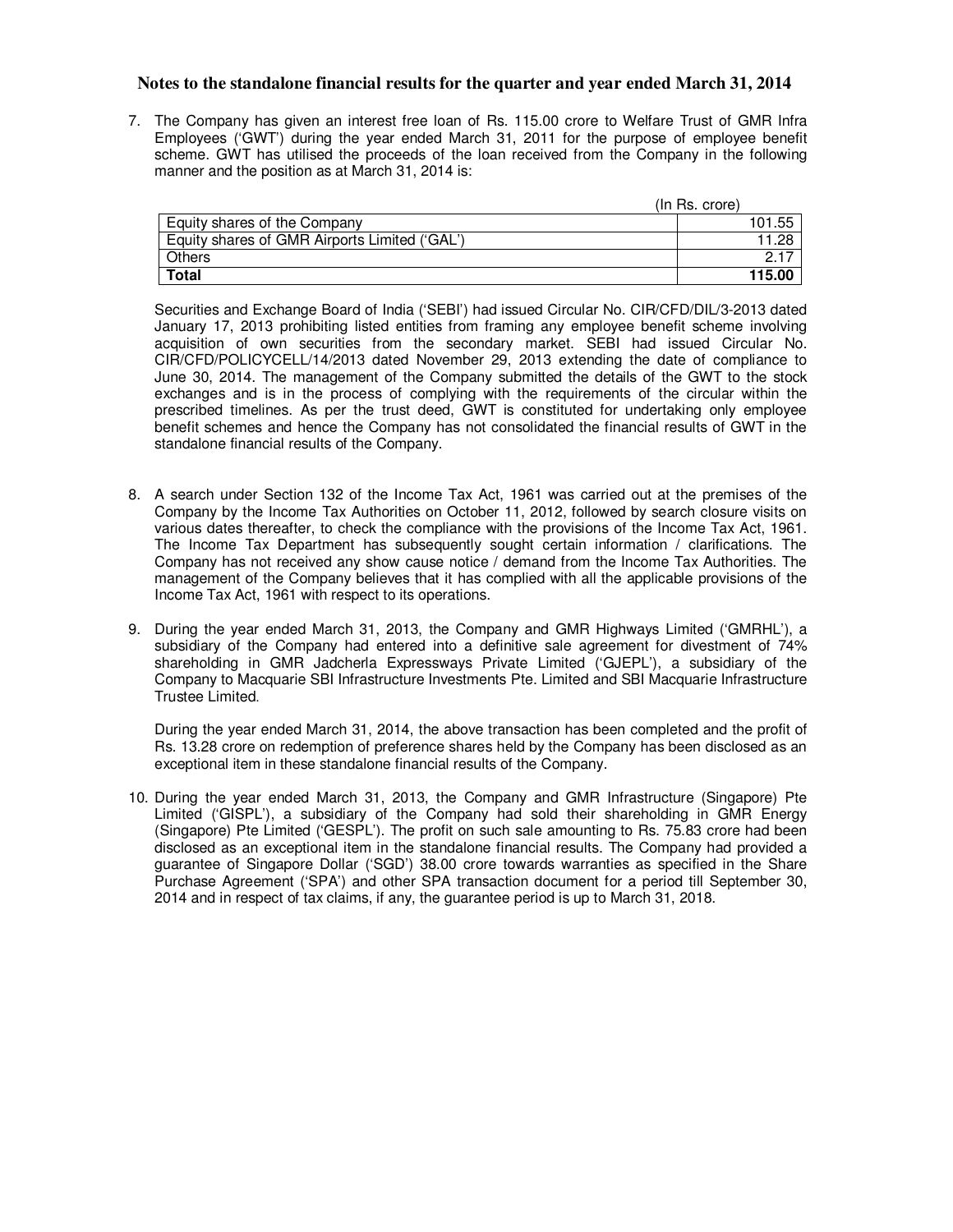7. The Company has given an interest free loan of Rs. 115.00 crore to Welfare Trust of GMR Infra Employees ('GWT') during the year ended March 31, 2011 for the purpose of employee benefit scheme. GWT has utilised the proceeds of the loan received from the Company in the following manner and the position as at March 31, 2014 is:

|                                               | $(ln$ Rs. crore) |
|-----------------------------------------------|------------------|
| Equity shares of the Company                  | 101.55           |
| Equity shares of GMR Airports Limited ('GAL') | 1.28             |
| Others                                        | $\rightarrow$    |
| <b>Total</b>                                  | 115.00           |

Securities and Exchange Board of India ('SEBI') had issued Circular No. CIR/CFD/DIL/3-2013 dated January 17, 2013 prohibiting listed entities from framing any employee benefit scheme involving acquisition of own securities from the secondary market. SEBI had issued Circular No. CIR/CFD/POLICYCELL/14/2013 dated November 29, 2013 extending the date of compliance to June 30, 2014. The management of the Company submitted the details of the GWT to the stock exchanges and is in the process of complying with the requirements of the circular within the prescribed timelines. As per the trust deed, GWT is constituted for undertaking only employee benefit schemes and hence the Company has not consolidated the financial results of GWT in the standalone financial results of the Company.

- 8. A search under Section 132 of the Income Tax Act, 1961 was carried out at the premises of the Company by the Income Tax Authorities on October 11, 2012, followed by search closure visits on various dates thereafter, to check the compliance with the provisions of the Income Tax Act, 1961. The Income Tax Department has subsequently sought certain information / clarifications. The Company has not received any show cause notice / demand from the Income Tax Authorities. The management of the Company believes that it has complied with all the applicable provisions of the Income Tax Act, 1961 with respect to its operations.
- 9. During the year ended March 31, 2013, the Company and GMR Highways Limited ('GMRHL'), a subsidiary of the Company had entered into a definitive sale agreement for divestment of 74% shareholding in GMR Jadcherla Expressways Private Limited ('GJEPL'), a subsidiary of the Company to Macquarie SBI Infrastructure Investments Pte. Limited and SBI Macquarie Infrastructure Trustee Limited.

During the year ended March 31, 2014, the above transaction has been completed and the profit of Rs. 13.28 crore on redemption of preference shares held by the Company has been disclosed as an exceptional item in these standalone financial results of the Company.

10. During the year ended March 31, 2013, the Company and GMR Infrastructure (Singapore) Pte Limited ('GISPL'), a subsidiary of the Company had sold their shareholding in GMR Energy (Singapore) Pte Limited ('GESPL'). The profit on such sale amounting to Rs. 75.83 crore had been disclosed as an exceptional item in the standalone financial results. The Company had provided a guarantee of Singapore Dollar ('SGD') 38.00 crore towards warranties as specified in the Share Purchase Agreement ('SPA') and other SPA transaction document for a period till September 30, 2014 and in respect of tax claims, if any, the guarantee period is up to March 31, 2018.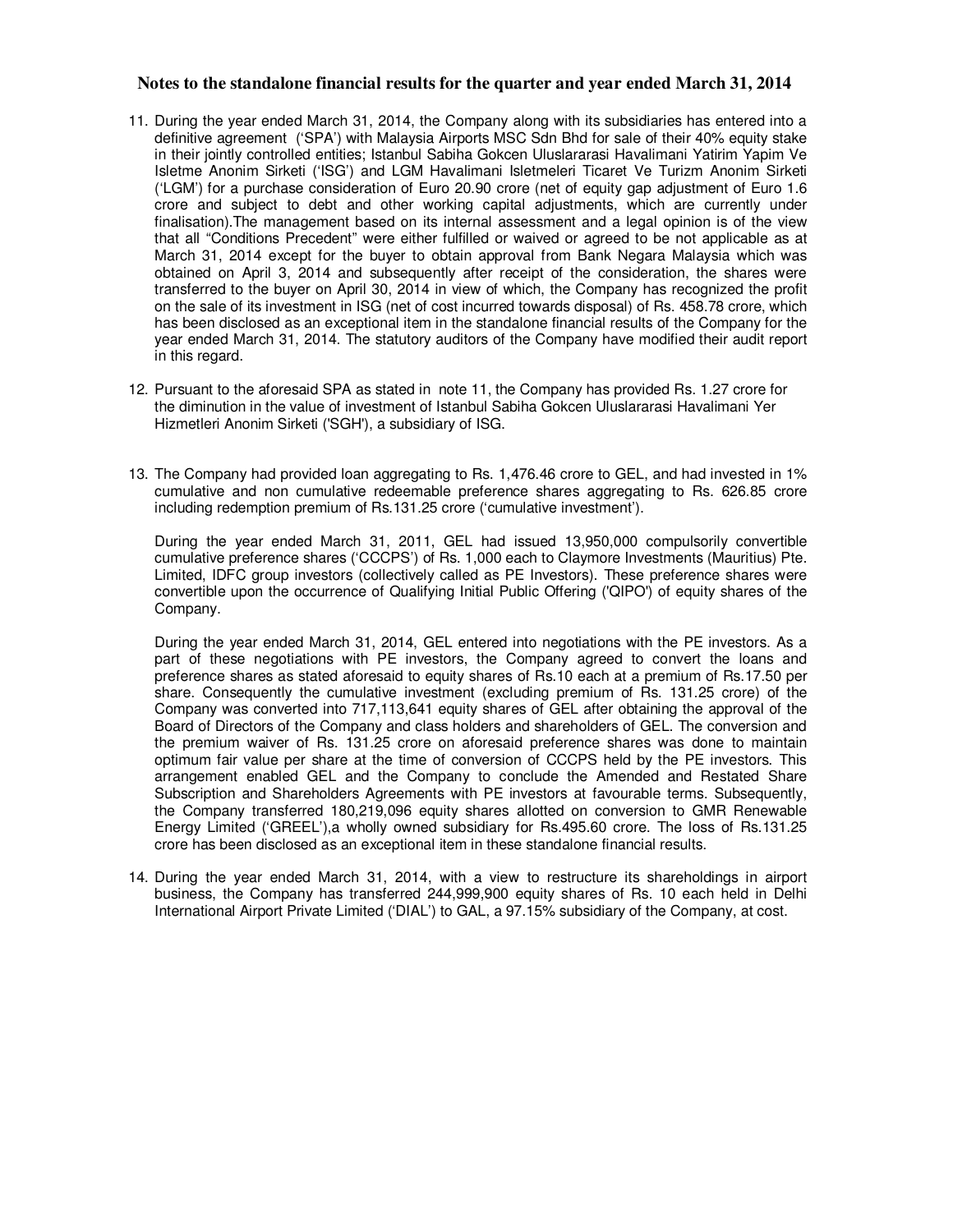- 11. During the year ended March 31, 2014, the Company along with its subsidiaries has entered into a definitive agreement ('SPA') with Malaysia Airports MSC Sdn Bhd for sale of their 40% equity stake in their jointly controlled entities; Istanbul Sabiha Gokcen Uluslararasi Havalimani Yatirim Yapim Ve Isletme Anonim Sirketi ('ISG') and LGM Havalimani Isletmeleri Ticaret Ve Turizm Anonim Sirketi ('LGM') for a purchase consideration of Euro 20.90 crore (net of equity gap adjustment of Euro 1.6 crore and subject to debt and other working capital adjustments, which are currently under finalisation).The management based on its internal assessment and a legal opinion is of the view that all "Conditions Precedent" were either fulfilled or waived or agreed to be not applicable as at March 31, 2014 except for the buyer to obtain approval from Bank Negara Malaysia which was obtained on April 3, 2014 and subsequently after receipt of the consideration, the shares were transferred to the buyer on April 30, 2014 in view of which, the Company has recognized the profit on the sale of its investment in ISG (net of cost incurred towards disposal) of Rs. 458.78 crore, which has been disclosed as an exceptional item in the standalone financial results of the Company for the year ended March 31, 2014. The statutory auditors of the Company have modified their audit report in this regard.
- 12. Pursuant to the aforesaid SPA as stated in note 11, the Company has provided Rs. 1.27 crore for the diminution in the value of investment of Istanbul Sabiha Gokcen Uluslararasi Havalimani Yer Hizmetleri Anonim Sirketi ('SGH'), a subsidiary of ISG.
- 13. The Company had provided loan aggregating to Rs. 1,476.46 crore to GEL, and had invested in 1% cumulative and non cumulative redeemable preference shares aggregating to Rs. 626.85 crore including redemption premium of Rs.131.25 crore ('cumulative investment').

During the year ended March 31, 2011, GEL had issued 13,950,000 compulsorily convertible cumulative preference shares ('CCCPS') of Rs. 1,000 each to Claymore Investments (Mauritius) Pte. Limited, IDFC group investors (collectively called as PE Investors). These preference shares were convertible upon the occurrence of Qualifying Initial Public Offering ('QIPO') of equity shares of the Company.

During the year ended March 31, 2014, GEL entered into negotiations with the PE investors. As a part of these negotiations with PE investors, the Company agreed to convert the loans and preference shares as stated aforesaid to equity shares of Rs.10 each at a premium of Rs.17.50 per share. Consequently the cumulative investment (excluding premium of Rs. 131.25 crore) of the Company was converted into 717,113,641 equity shares of GEL after obtaining the approval of the Board of Directors of the Company and class holders and shareholders of GEL. The conversion and the premium waiver of Rs. 131.25 crore on aforesaid preference shares was done to maintain optimum fair value per share at the time of conversion of CCCPS held by the PE investors. This arrangement enabled GEL and the Company to conclude the Amended and Restated Share Subscription and Shareholders Agreements with PE investors at favourable terms. Subsequently, the Company transferred 180,219,096 equity shares allotted on conversion to GMR Renewable Energy Limited ('GREEL'),a wholly owned subsidiary for Rs.495.60 crore. The loss of Rs.131.25 crore has been disclosed as an exceptional item in these standalone financial results.

14. During the year ended March 31, 2014, with a view to restructure its shareholdings in airport business, the Company has transferred 244,999,900 equity shares of Rs. 10 each held in Delhi International Airport Private Limited ('DIAL') to GAL, a 97.15% subsidiary of the Company, at cost.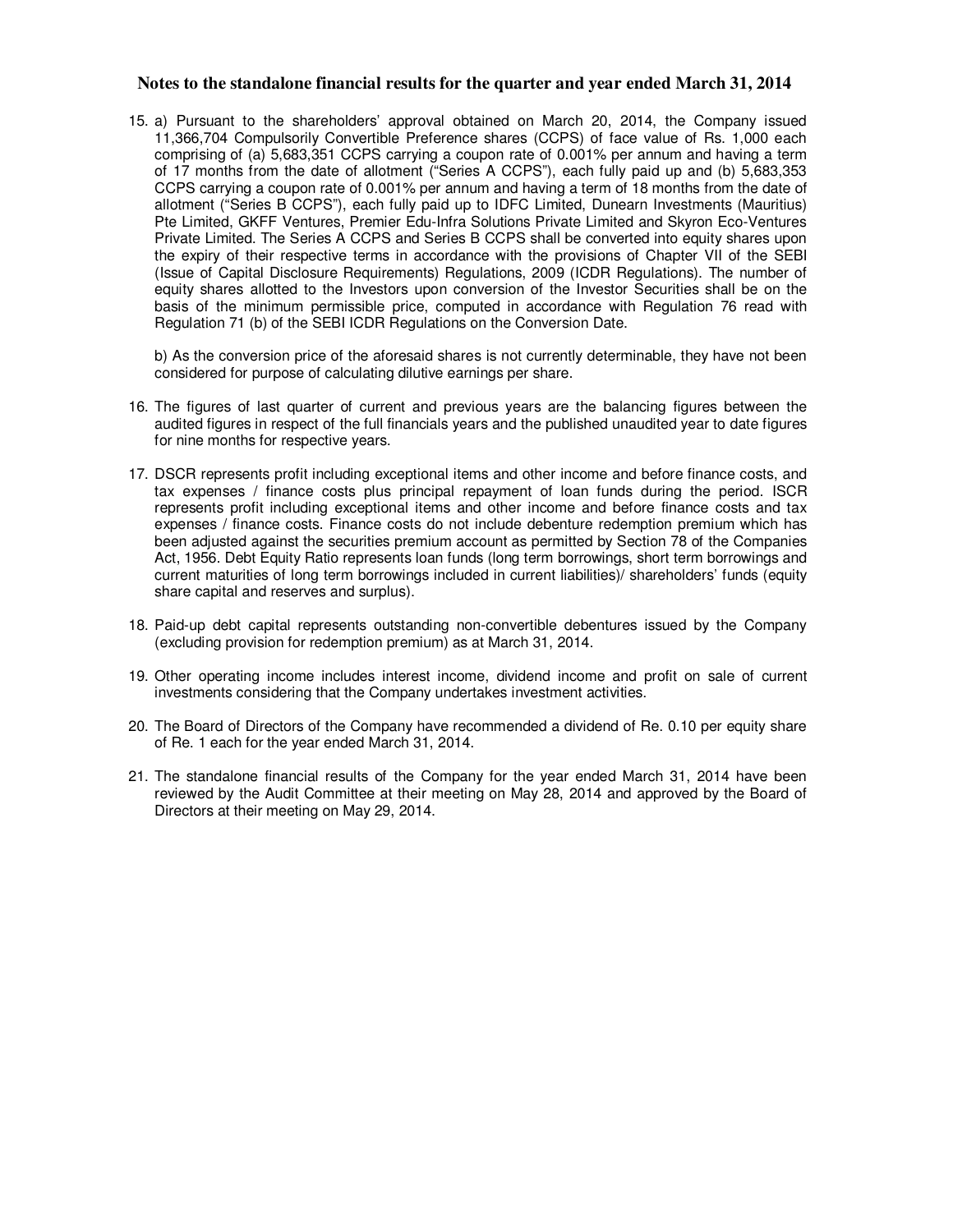15. a) Pursuant to the shareholders' approval obtained on March 20, 2014, the Company issued 11,366,704 Compulsorily Convertible Preference shares (CCPS) of face value of Rs. 1,000 each comprising of (a) 5,683,351 CCPS carrying a coupon rate of 0.001% per annum and having a term of 17 months from the date of allotment ("Series A CCPS"), each fully paid up and (b) 5,683,353 CCPS carrying a coupon rate of 0.001% per annum and having a term of 18 months from the date of allotment ("Series B CCPS"), each fully paid up to IDFC Limited, Dunearn Investments (Mauritius) Pte Limited, GKFF Ventures, Premier Edu-Infra Solutions Private Limited and Skyron Eco-Ventures Private Limited. The Series A CCPS and Series B CCPS shall be converted into equity shares upon the expiry of their respective terms in accordance with the provisions of Chapter VII of the SEBI (Issue of Capital Disclosure Requirements) Regulations, 2009 (ICDR Regulations). The number of equity shares allotted to the Investors upon conversion of the Investor Securities shall be on the basis of the minimum permissible price, computed in accordance with Regulation 76 read with Regulation 71 (b) of the SEBI ICDR Regulations on the Conversion Date.

b) As the conversion price of the aforesaid shares is not currently determinable, they have not been considered for purpose of calculating dilutive earnings per share.

- 16. The figures of last quarter of current and previous years are the balancing figures between the audited figures in respect of the full financials years and the published unaudited year to date figures for nine months for respective years.
- 17. DSCR represents profit including exceptional items and other income and before finance costs, and tax expenses / finance costs plus principal repayment of loan funds during the period. ISCR represents profit including exceptional items and other income and before finance costs and tax expenses / finance costs. Finance costs do not include debenture redemption premium which has been adjusted against the securities premium account as permitted by Section 78 of the Companies Act, 1956. Debt Equity Ratio represents loan funds (long term borrowings, short term borrowings and current maturities of long term borrowings included in current liabilities)/ shareholders' funds (equity share capital and reserves and surplus).
- 18. Paid-up debt capital represents outstanding non-convertible debentures issued by the Company (excluding provision for redemption premium) as at March 31, 2014.
- 19. Other operating income includes interest income, dividend income and profit on sale of current investments considering that the Company undertakes investment activities.
- 20. The Board of Directors of the Company have recommended a dividend of Re. 0.10 per equity share of Re. 1 each for the year ended March 31, 2014.
- 21. The standalone financial results of the Company for the year ended March 31, 2014 have been reviewed by the Audit Committee at their meeting on May 28, 2014 and approved by the Board of Directors at their meeting on May 29, 2014.